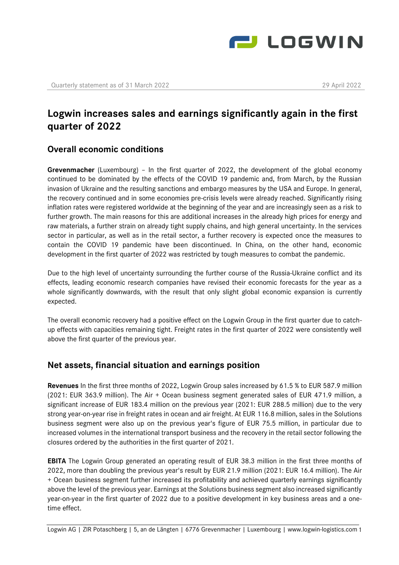

# **Logwin increases sales and earnings significantly again in the first quarter of 2022**

### **Overall economic conditions**

**Grevenmacher** (Luxembourg) – In the first quarter of 2022, the development of the global economy continued to be dominated by the effects of the COVID 19 pandemic and, from March, by the Russian invasion of Ukraine and the resulting sanctions and embargo measures by the USA and Europe. In general, the recovery continued and in some economies pre-crisis levels were already reached. Significantly rising inflation rates were registered worldwide at the beginning of the year and are increasingly seen as a risk to further growth. The main reasons for this are additional increases in the already high prices for energy and raw materials, a further strain on already tight supply chains, and high general uncertainty. In the services sector in particular, as well as in the retail sector, a further recovery is expected once the measures to contain the COVID 19 pandemic have been discontinued. In China, on the other hand, economic development in the first quarter of 2022 was restricted by tough measures to combat the pandemic.

Due to the high level of uncertainty surrounding the further course of the Russia-Ukraine conflict and its effects, leading economic research companies have revised their economic forecasts for the year as a whole significantly downwards, with the result that only slight global economic expansion is currently expected.

The overall economic recovery had a positive effect on the Logwin Group in the first quarter due to catchup effects with capacities remaining tight. Freight rates in the first quarter of 2022 were consistently well above the first quarter of the previous year.

## **Net assets, financial situation and earnings position**

**Revenues** In the first three months of 2022, Logwin Group sales increased by 61.5 % to EUR 587.9 million (2021: EUR 363.9 million). The Air + Ocean business segment generated sales of EUR 471.9 million, a significant increase of EUR 183.4 million on the previous year (2021: EUR 288.5 million) due to the very strong year-on-year rise in freight rates in ocean and air freight. At EUR 116.8 million, sales in the Solutions business segment were also up on the previous year's figure of EUR 75.5 million, in particular due to increased volumes in the international transport business and the recovery in the retail sector following the closures ordered by the authorities in the first quarter of 2021.

**EBITA** The Logwin Group generated an operating result of EUR 38.3 million in the first three months of 2022, more than doubling the previous year's result by EUR 21.9 million (2021: EUR 16.4 million). The Air + Ocean business segment further increased its profitability and achieved quarterly earnings significantly above the level of the previous year. Earnings at the Solutions business segment also increased significantly year-on-year in the first quarter of 2022 due to a positive development in key business areas and a onetime effect.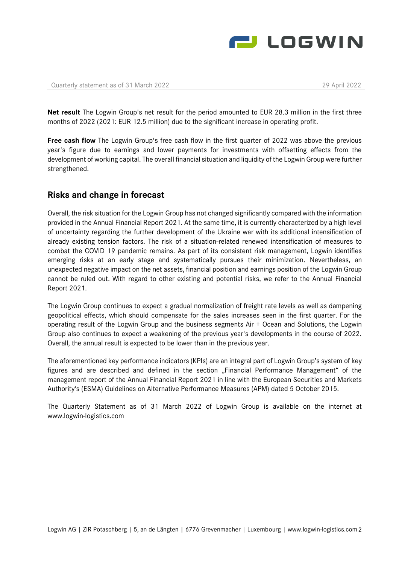

**Net result** The Logwin Group's net result for the period amounted to EUR 28.3 million in the first three months of 2022 (2021: EUR 12.5 million) due to the significant increase in operating profit.

**Free cash flow** The Logwin Group's free cash flow in the first quarter of 2022 was above the previous year's figure due to earnings and lower payments for investments with offsetting effects from the development of working capital. The overall financial situation and liquidity of the Logwin Group were further strengthened.

#### **Risks and change in forecast**

Overall, the risk situation for the Logwin Group has not changed significantly compared with the information provided in the Annual Financial Report 2021. At the same time, it is currently characterized by a high level of uncertainty regarding the further development of the Ukraine war with its additional intensification of already existing tension factors. The risk of a situation-related renewed intensification of measures to combat the COVID 19 pandemic remains. As part of its consistent risk management, Logwin identifies emerging risks at an early stage and systematically pursues their minimization. Nevertheless, an unexpected negative impact on the net assets, financial position and earnings position of the Logwin Group cannot be ruled out. With regard to other existing and potential risks, we refer to the Annual Financial Report 2021.

The Logwin Group continues to expect a gradual normalization of freight rate levels as well as dampening geopolitical effects, which should compensate for the sales increases seen in the first quarter. For the operating result of the Logwin Group and the business segments Air + Ocean and Solutions, the Logwin Group also continues to expect a weakening of the previous year's developments in the course of 2022. Overall, the annual result is expected to be lower than in the previous year.

The aforementioned key performance indicators (KPIs) are an integral part of Logwin Group's system of key figures and are described and defined in the section "Financial Performance Management" of the management report of the Annual Financial Report 2021 in line with the European Securities and Markets Authority's (ESMA) Guidelines on Alternative Performance Measures (APM) dated 5 October 2015.

The Quarterly Statement as of 31 March 2022 of Logwin Group is available on the internet at www.logwin-logistics.com